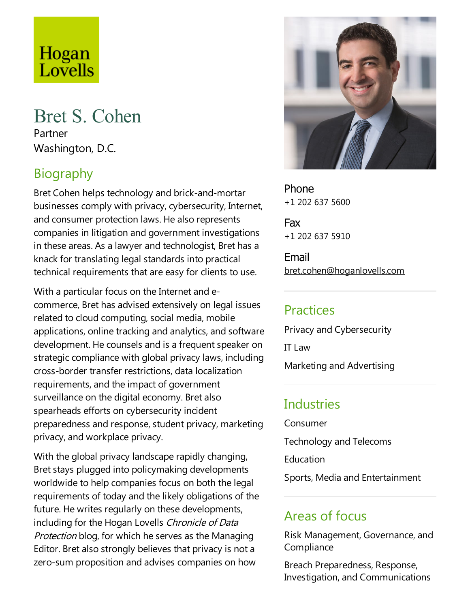# Hogan Lovells

# Bret S. Cohen

Partner Washington, D.C.

## Biography

Bret Cohen helps technology and brick-and-mortar businesses comply with privacy, cybersecurity, Internet, and consumer protection laws. He also represents companies in litigation and government investigations in these areas. As a lawyer and technologist, Bret has a knack for translating legal standards into practical technical requirements that are easy for clients to use.

With a particular focus on the Internet and ecommerce, Bret has advised extensively on legal issues related to cloud computing, social media, mobile applications, online tracking and analytics, and software development. He counsels and is a frequent speaker on strategic compliance with global privacy laws, including cross-border transfer restrictions, datalocalization requirements, and the impact of government surveillance on the digital economy. Bret also spearheads efforts on cybersecurity incident preparedness and response, student privacy, marketing privacy, and workplace privacy.

With the global privacy landscape rapidly changing, Bret stays plugged into policymaking developments worldwide to help companies focus on both the legal requirements of today and the likely obligations of the future. He writes regularly on these developments, including for the Hogan Lovells Chronicle of Data Protection blog, for which he serves as the Managing Editor. Bret also strongly believes that privacy is not a zero-sum proposition and advises companies on how



Phone +1 202 637 5600

Fax +1 202 637 5910

Email bret.cohen@hoganlovells.com

#### Practices

Privacy and Cybersecurity

IT  $\mathsf{I}$  aw

Marketing and Advertising

#### **Industries**

Consumer Technology and Telecoms **Education** Sports, Media and Entertainment

#### Areas of focus

Risk Management, Governance, and **Compliance** 

Breach Preparedness, Response, Investigation, and Communications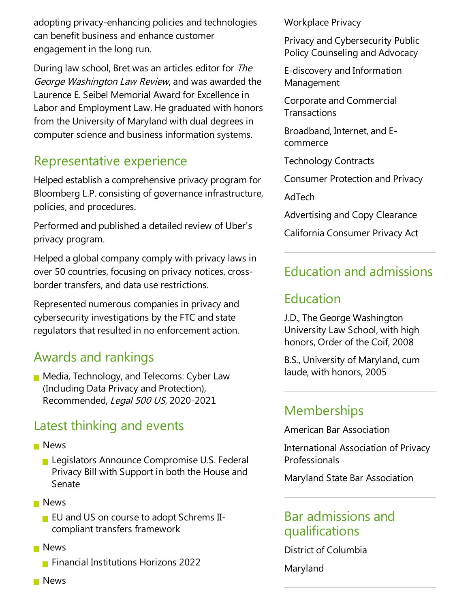adopting privacy-enhancing policies and technologies can benefit business and enhance customer engagement in the long run.

During law school, Bret was an articles editor for The George Washington Law Review, and was awarded the Laurence E. Seibel Memorial Award for Excellence in Labor and Employment Law. He graduated with honors from the University of Maryland with dual degrees in computer science and business information systems.

### Representative experience

Helped establish a comprehensive privacy program for Bloomberg L.P. consisting of governance infrastructure, policies,and procedures.

Performed and published a detailed review of Uber's privacy program.

Helped a global company comply with privacy laws in over 50 countries, focusing on privacy notices, crossborder transfers, and data use restrictions.

Represented numerous companies in privacy and cybersecurity investigations by the FTC and state regulators that resulted in no enforcement action.

#### Awards and rankings

**Media, Technology, and Telecoms: Cyber Law** (Including Data Privacy and Protection), Recommended, Legal 500 US, 2020-2021

#### Latest thinking and events

- **News** 
	- **Legislators Announce Compromise U.S. Federal** Privacy Bill with Support in both the House and Senate
- **News** 
	- **EU and US on course to adopt Schrems II**compliant transfers framework
- **News** 
	- **Financial Institutions Horizons 2022**

Workplace Privacy

Privacy and Cybersecurity Public Policy Counseling and Advocacy

E-discovery and Information Management

Corporate and Commercial **Transactions** 

Broadband, Internet, and Ecommerce

Technology Contracts

Consumer Protection and Privacy

AdTech

Advertising and Copy Clearance

California Consumer Privacy Act

#### Education and admissions

#### Education

J.D.,The George Washington University Law School, with high honors, Order of the Coif, 2008

B.S., University of Maryland, cum laude, with honors, 2005

#### **Memberships**

American Bar Association

International Association of Privacy Professionals

Maryland State Bar Association

#### Bar admissions and qualifications

District of Columbia

Maryland

**News**